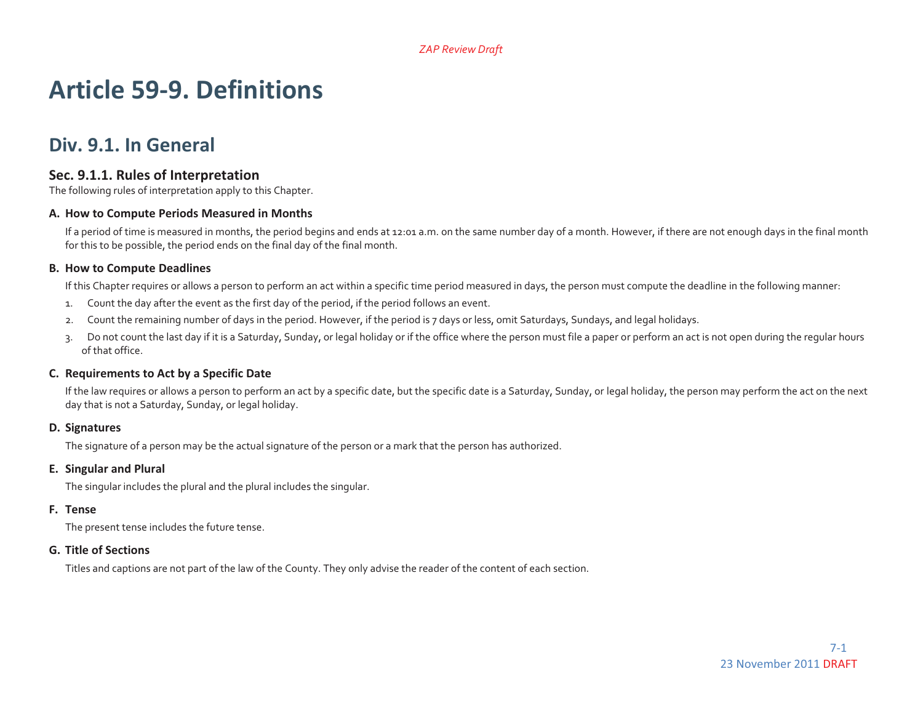# **Article 59-9. Definitions**

# **Div. 9.1. In General**

#### **Sec. 9.1.1. Rules of Interpretation**

The following rules of interpretation apply to this Chapter.

#### **A. How to Compute Periods Measured in Months**

If a period of time is measured in months, the period begins and ends at 12:01 a.m. on the same number day of a month. However, if there are not enough days in the final month for this to be possible, the period ends on the final day of the final month.

#### **B. How to Compute Deadlines**

If this Chapter requires or allows a person to perform an act within a specific time period measured in days, the person must compute the deadline in the following manner:

- 1. Count the day after the event as the first day of the period, if the period follows an event.
- 2. Count the remaining number of days in the period. However, if the period is 7 days or less, omit Saturdays, Sundays, and legal holidays.
- 3. Do not count the last day if it is a Saturday, Sunday, or legal holiday or if the office where the person must file a paper or perform an act is not open during the regular hours of that office.

#### **C. Requirements to Act by <sup>a</sup> Specific Date**

If the law requires or allows a person to perform an act by a specific date, but the specific date is a Saturday, Sunday, or legal holiday, the person may perform the act on the next day that is not a Saturday, Sunday, or legal holiday.

#### **D. Signatures**

The signature of a person may be the actual signature of the person or a mark that the person has authorized.

#### **E. Singular and Plural**

The singular includes the plural and the plural includes the singular.

#### **F. Tense**

The present tense includes the future tense.

#### **G. Title of Sections**

Titles and captions are not part of the law of the County. They only advise the reader of the content of each section.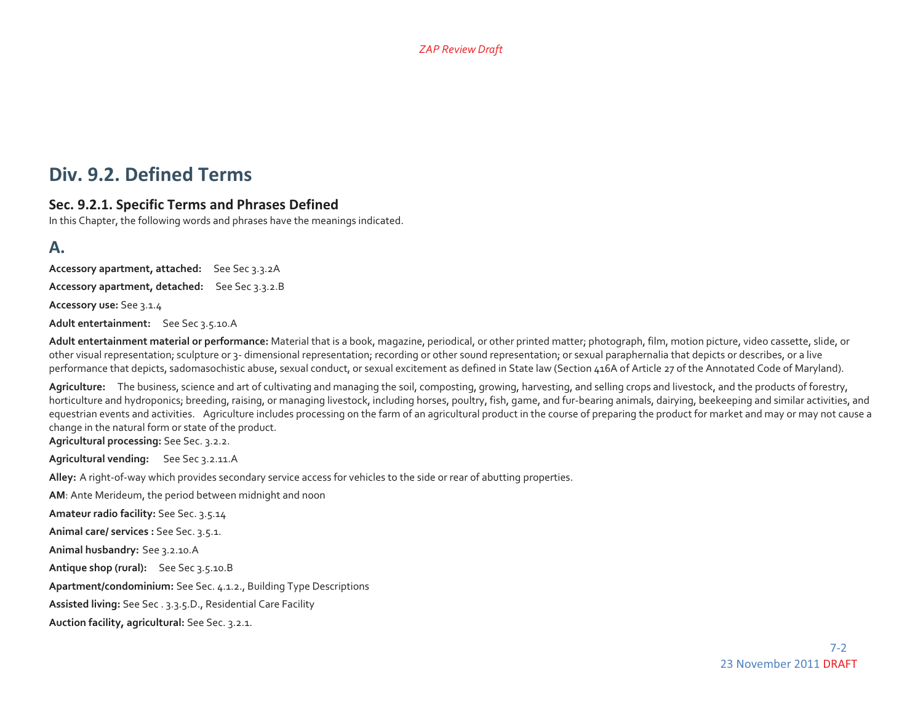# **Div. 9.2. Defined Terms**

#### **Sec. 9.2.1. Specific Terms and Phrases Defined**

In this Chapter, the following words and phrases have the meanings indicated.

### **A.**

**Accessory apartment, attached:** See Sec 3.3.2A **Accessory apartment, detached:** See Sec 3.3.2.B **Accessory use:** See 3.1.4

**Adult entertainment:** See Sec 3.5.10.A

**Adult entertainment material or performance:** Material that is a book, magazine, periodical, or other printed matter; photograph, film, motion picture, video cassette, slide, or other visual representation; sculpture or 3- dimensional representation; recording or other sound representation; or sexual paraphernalia that depicts or describes, or a live performance that depicts, sadomasochistic abuse, sexual conduct, or sexual excitement as defined in State law (Section 416A of Article 27 of the Annotated Code of Maryland).

**Agriculture:** The business, science and art of cultivating and managing the soil, composting, growing, harvesting, and selling crops and livestock, and the products of forestry, horticulture and hydroponics; breeding, raising, or managing livestock, including horses, poultry, fish, game, and fur-bearing animals, dairying, beekeeping and similar activities, and equestrian events and activities. Agriculture includes processing on the farm of an agricultural product in the course of preparing the product for market and may or may not cause a change in the natural form or state of the product.

**Agricultural processing:** See Sec. 3.2.2.

**Agricultural vending:** See Sec 3.2.11.A

**Alley:** A right-of-way which provides secondary service access for vehicles to the side or rear of abutting properties.

**AM**: Ante Merideum, the period between midnight and noon

**Amateur radio facility:** See Sec. 3.5.14

**Animal care/ services :** See Sec. 3.5.1.

**Animal husbandry:** See 3.2.10.A

**Antique shop (rural):** See Sec 3.5.10.B

**Apartment/condominium:** See Sec. 4.1.2., Building Type Descriptions

**Assisted living:** See Sec . 3.3.5.D., Residential Care Facility

**Auction facility, agricultural:** See Sec. 3.2.1.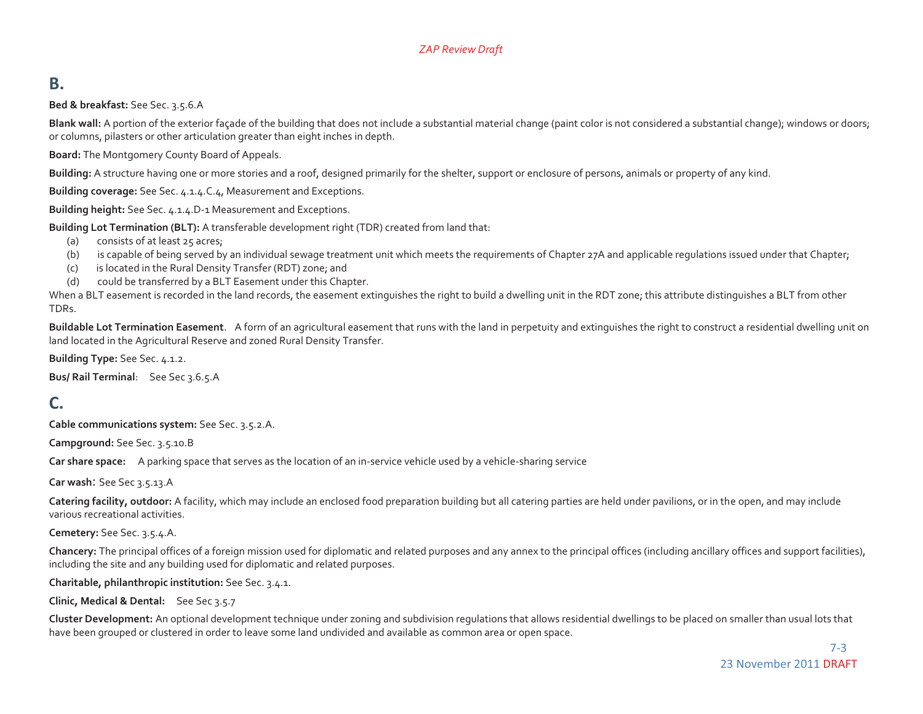### **B.**

**Bed & breakfast:** See Sec. 3.5.6.A

**Blank wall:** A portion of the exterior façade of the building that does not include a substantial material change (paint color is not considered a substantial change); windows or doors; or columns, pilasters or other articulation greater than eight inches in depth.

**Board:** The Montgomery County Board of Appeals.

**Building:** A structure having one or more stories and a roof, designed primarily for the shelter, support or enclosure of persons, animals or property of any kind.

**Building coverage:** See Sec. 4.1.4.C.4, Measurement and Exceptions.

**Building height:** See Sec. 4.1.4.D-1 Measurement and Exceptions.

**Building Lot Termination (BLT):** A transferable development right (TDR) created from land that:

- (a) consists of at least 25 acres;
- (b) is capable of being served by an individual sewage treatment unit which meets the requirements of Chapter 27A and applicable requlations issued under that Chapter;
- (c) is located in the Rural Density Transfer (RDT) zone; and
- (d) could be transferred by a BLT Easement under this Chapter.

When a BLT easement is recorded in the land records, the easement extinguishes the right to build a dwelling unit in the RDT zone; this attribute distinguishes a BLT from other TDRs.

**Buildable Lot Termination Easement**. A form of an agricultural easement that runs with the land in perpetuity and extinguishes the right to construct a residential dwelling unit on land located in the Agricultural Reserve and zoned Rural Density Transfer.

**Building Type:** See Sec. 4.1.2.

**Bus/ Rail Terminal**: See Sec 3.6.5.A

### **C.**

**Cable communications system:** See Sec. 3.5.2.A.

**Campground:** See Sec. 3.5.10.B

**Car share space:** A parking space that serves as the location of an in-service vehicle used by a vehicle-sharing service

**Car wash**: See Sec 3.5.13.A

**Catering facility, outdoor:** A facility, which may include an enclosed food preparation building but all catering parties are held under pavilions, or in the open, and may include various recreational activities.

**Cemetery:** See Sec. 3.5.4.A.

**Chancery:** The principal offices of a foreign mission used for diplomatic and related purposes and any annex to the principal offices (including ancillary offices and support facilities), including the site and any building used for diplomatic and related purposes.

**Charitable, philanthropic institution:** See Sec. 3.4.1.

**Clinic, Medical & Dental:** See Sec 3.5.7

**Cluster Development:** An optional development technique under zoning and subdivision regulations that allows residential dwellings to be placed on smaller than usual lots that have been grouped or clustered in order to leave some land undivided and available as common area or open space.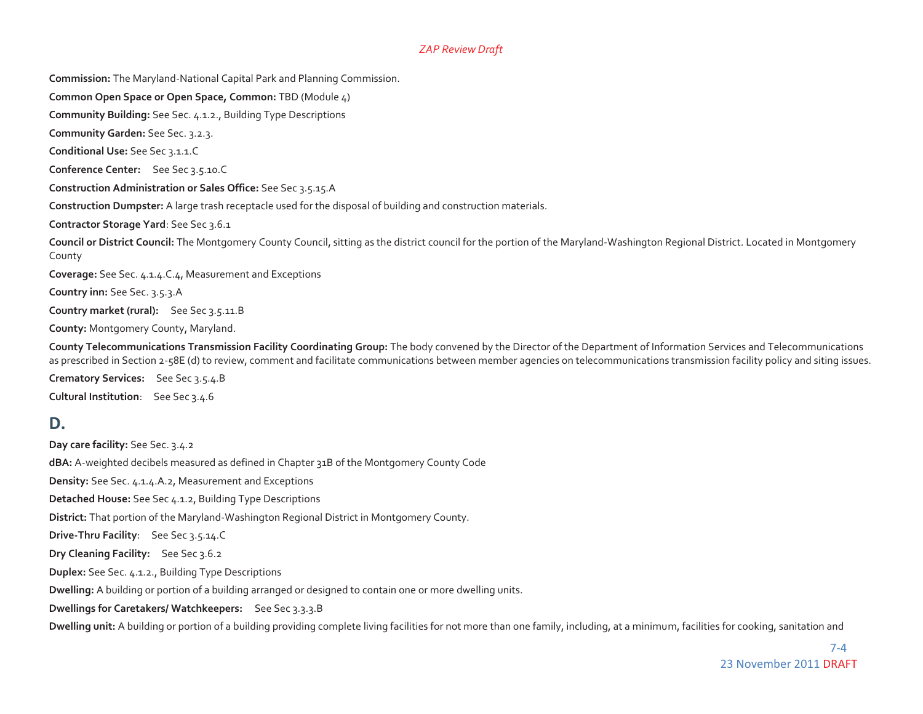**Commission:** The Maryland-National Capital Park and Planning Commission.

**Common Open Space or Open Space, Common:** TBD (Module 4)

**Community Building:** See Sec. 4.1.2., Building Type Descriptions

**Community Garden:** See Sec. 3.2.3.

**Conditional Use:** See Sec 3.1.1.C

**Conference Center:** See Sec 3.5.10.C

**Construction Administration or Sales Office:** See Sec 3.5.15.A

**Construction Dumpster:** A large trash receptacle used for the disposal of building and construction materials.

**Contractor Storage Yard**: See Sec 3.6.1

**Council or District Council:** The Montgomery County Council, sitting as the district council for the portion of the Maryland-Washington Regional District. Located in Montgomery County

**Coverage:** See Sec. 4.1.4.C.4, Measurement and Exceptions

**Country inn:** See Sec. 3.5.3.A

**Country market (rural):** See Sec 3.5.11.B

**County:** Montgomery County, Maryland.

**County Telecommunications Transmission Facility Coordinating Group:** The body convened by the Director of the Department of Information Services and Telecommunications as prescribed in Section 2-58E (d) to review, comment and facilitate communications between member agencies on telecommunications transmission facility policy and siting issues.

**Crematory Services:** See Sec 3.5.4.B **Cultural Institution**: See Sec 3.4.6

### **D.**

**Day care facility:** See Sec. 3.4.2 **dBA:** A-weighted decibels measured as defined in Chapter 31B of the Montgomery County Code **Density:** See Sec. 4.1.4.A.2, Measurement and Exceptions **Detached House:** See Sec 4.1.2, Building Type Descriptions **District:** That portion of the Maryland-Washington Regional District in Montgomery County. **Drive-Thru Facility**: See Sec 3.5.14.C **Dry Cleaning Facility:** See Sec 3.6.2 **Duplex:** See Sec. 4.1.2., Building Type Descriptions **Dwelling:** A building or portion of a building arranged or designed to contain one or more dwelling units. **Dwellings for Caretakers/ Watchkeepers:** See Sec 3.3.3.B

**Dwelling unit:** A building or portion of a building providing complete living facilities for not more than one family, including, at a minimum, facilities for cooking, sanitation and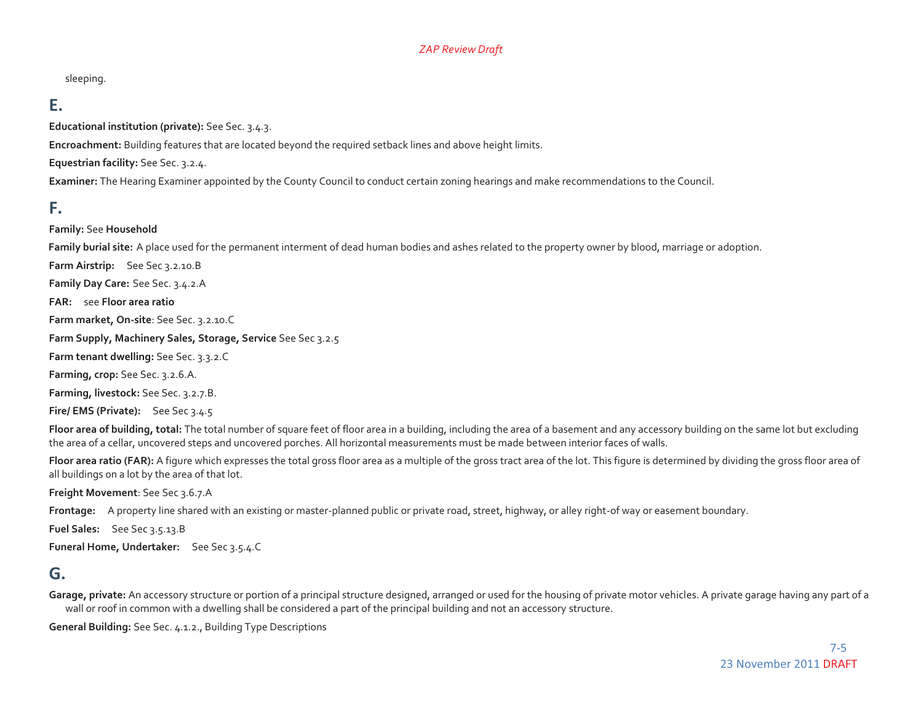sleeping.

### **E.**

**Educational institution (private):** See Sec. 3.4.3.

**Encroachment:** Building features that are located beyond the required setback lines and above height limits.

**Equestrian facility:** See Sec. 3.2.4.

**Examiner:** The Hearing Examiner appointed by the County Council to conduct certain zoning hearings and make recommendations to the Council.

### **F.**

**Family:** See **Household**

**Family burial site:** A place used for the permanent interment of dead human bodies and ashes related to the property owner by blood, marriage or adoption.

**Farm Airstrip:** See Sec 3.2.10.B **Family Day Care:** See Sec. 3.4.2.A **FAR:** see **Floor area ratio Farm market, On-site**: See Sec. 3.2.10.C **Farm Supply, Machinery Sales, Storage, Service** See Sec 3.2.5 **Farm tenant dwelling:** See Sec. 3.3.2.C **Farming, crop:** See Sec. 3.2.6.A. **Farming, livestock:** See Sec. 3.2.7.B. **Fire/ EMS (Private):** See Sec 3.4.5

Floor area of building, total: The total number of square feet of floor area in a building, including the area of a basement and any accessory building on the same lot but excluding the area of a cellar, uncovered steps and uncovered porches. All horizontal measurements must be made between interior faces of walls.

Floor area ratio (FAR): A figure which expresses the total gross floor area as a multiple of the gross tract area of the lot. This figure is determined by dividing the gross floor area of all buildings on a lot by the area of that lot.

**Freight Movement**: See Sec 3.6.7.A

**Frontage:** A property line shared with an existing or master-planned public or private road, street, highway, or alley right-of way or easement boundary.

**Fuel Sales:** See Sec 3.5.13.B

**Funeral Home, Undertaker:** See Sec 3.5.4.C

### **G.**

Garage, private: An accessory structure or portion of a principal structure designed, arranged or used for the housing of private motor vehicles. A private garage having any part of a wall or roof in common with a dwelling shall be considered a part of the principal building and not an accessory structure.

**General Building:** See Sec. 4.1.2., Building Type Descriptions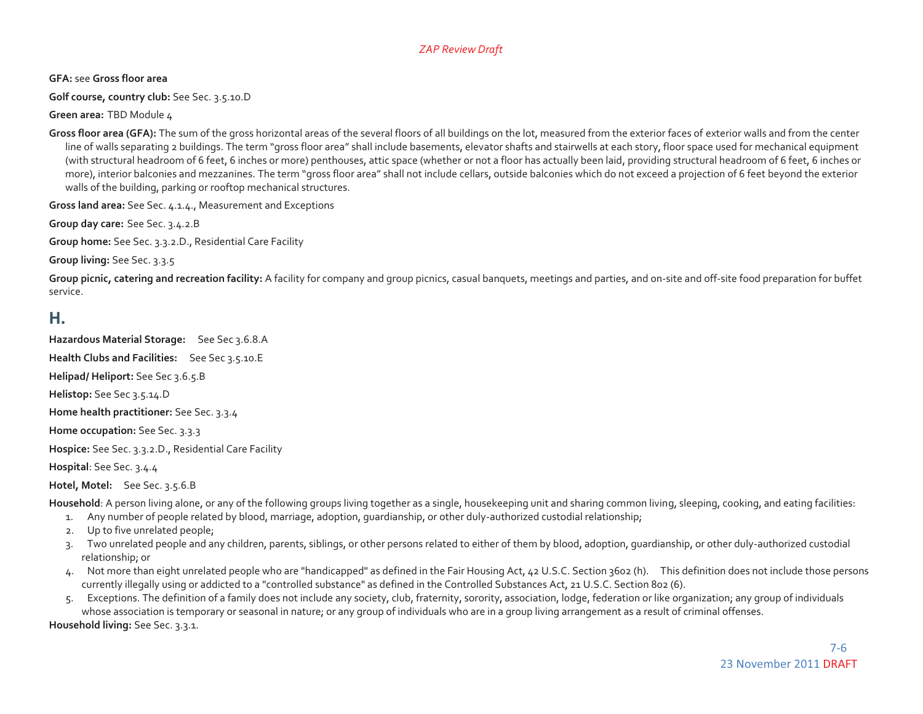**GFA:** see **Gross floor area** 

**Golf course, country club:** See Sec. 3.5.10.D

**Green area:** TBD Module 4

Gross floor area (GFA): The sum of the gross horizontal areas of the several floors of all buildings on the lot, measured from the exterior faces of exterior walls and from the center line of walls separating 2 buildings. The term "gross floor area" shall include basements, elevator shafts and stairwells at each story, floor space used for mechanical equipment (with structural headroom of 6 feet, 6 inches or more) penthouses, attic space (whether or not a floor has actually been laid, providing structural headroom of 6 feet, 6 inches or more), interior balconies and mezzanines. The term "gross floor area" shall not include cellars, outside balconies which do not exceed a projection of 6 feet beyond the exterior walls of the building, parking or rooftop mechanical structures.

**Gross land area:** See Sec. 4.1.4., Measurement and Exceptions

**Group day care:** See Sec. 3.4.2.B

**Group home:** See Sec. 3.3.2.D., Residential Care Facility

**Group living:** See Sec. 3.3.5

Group picnic, catering and recreation facility: A facility for company and group picnics, casual banquets, meetings and parties, and on-site and off-site food preparation for buffet service.

### **H.**

**Hazardous Material Storage:** See Sec 3.6.8.A

**Health Clubs and Facilities:** See Sec 3.5.10.E

**Helipad/ Heliport:** See Sec 3.6.5.B

**Helistop:** See Sec 3.5.14.D

**Home health practitioner:** See Sec. 3.3.4

**Home occupation:** See Sec. 3.3.3

**Hospice:** See Sec. 3.3.2.D., Residential Care Facility

**Hospital**: See Sec. 3.4.4

**Hotel, Motel:** See Sec. 3.5.6.B

Household: A person living alone, or any of the following groups living together as a single, housekeeping unit and sharing common living, sleeping, cooking, and eating facilities:

- 1. Any number of people related by blood, marriage, adoption, guardianship, or other duly-authorized custodial relationship;
- 2. Up to five unrelated people;
- 3. Two unrelated people and any children, parents, siblings, or other persons related to either of them by blood, adoption, guardianship, or other duly-authorized custodial relationship; or
- 4. Not more than eight unrelated people who are "handicapped" as defined in the Fair Housing Act, 42 U.S.C. Section 3602 (h). This definition does not include those persons currently illegally using or addicted to a "controlled substance" as defined in the Controlled Substances Act, 21 U.S.C. Section 802 (6).
- 5. Exceptions. The definition of a family does not include any society, club, fraternity, sorority, association, lodge, federation or like organization; any group of individuals whose association is temporary or seasonal in nature; or any group of individuals who are in a group living arrangement as a result of criminal offenses. **Household living:** See Sec. 3.3.1.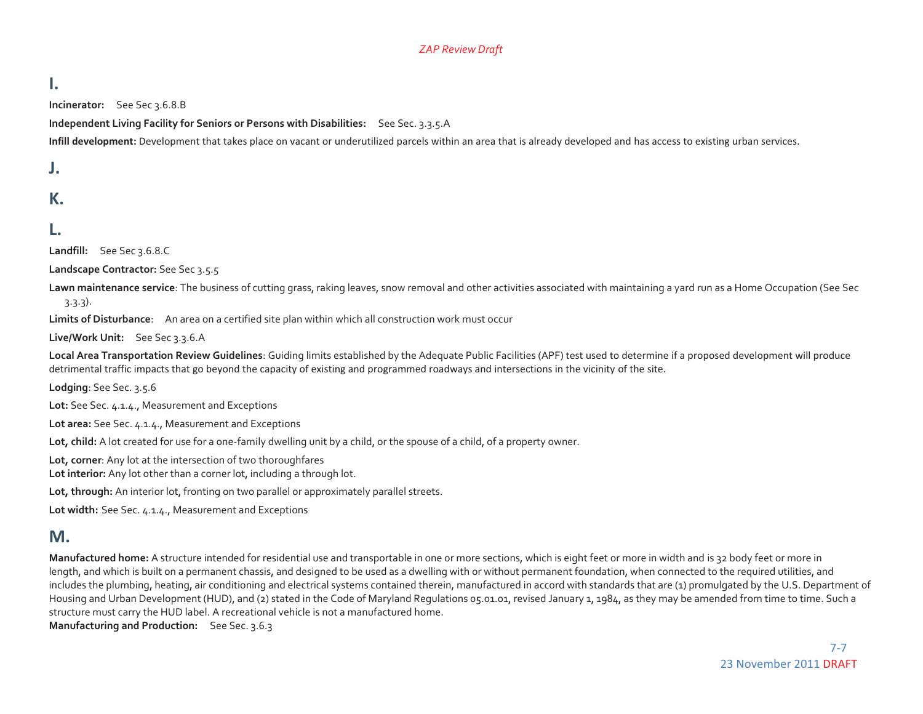### **I.**

**Incinerator:** See Sec 3.6.8.B

**Independent Living Facility for Seniors or Persons with Disabilities:** See Sec. 3.3.5.A

**Infill development:** Development that takes place on vacant or underutilized parcels within an area that is already developed and has access to existing urban services.

#### **J.**

### **K.**

### **L.**

**Landfill:** See Sec 3.6.8.C

**Landscape Contractor:** See Sec 3.5.5

**Lawn maintenance service**: The business of cutting grass, raking leaves, snow removal and other activities associated with maintaining a yard run as a Home Occupation (See Sec 3.3.3).

**Limits of Disturbance**: An area on a certified site plan within which all construction work must occur

**Live/Work Unit:** See Sec 3.3.6.A

Local Area Transportation Review Guidelines: Guiding limits established by the Adequate Public Facilities (APF) test used to determine if a proposed development will produce detrimental traffic impacts that go beyond the capacity of existing and programmed roadways and intersections in the vicinity of the site.

**Lodging**: See Sec. 3.5.6

**Lot:** See Sec. 4.1.4., Measurement and Exceptions

**Lot area:** See Sec. 4.1.4., Measurement and Exceptions

Lot, child: A lot created for use for a one-family dwelling unit by a child, or the spouse of a child, of a property owner.

**Lot, corner**: Any lot at the intersection of two thoroughfares

**Lot interior:** Any lot other than a corner lot, including a through lot.

**Lot, through:** An interior lot, fronting on two parallel or approximately parallel streets.

**Lot width:** See Sec. 4.1.4., Measurement and Exceptions

#### **M.**

**Manufactured home:** A structure intended for residential use and transportable in one or more sections, which is eight feet or more in width and is 32 body feet or more in length, and which is built on a permanent chassis, and designed to be used as a dwelling with or without permanent foundation, when connected to the required utilities, and includes the plumbing, heating, air conditioning and electrical systems contained therein, manufactured in accord with standards that are (1) promulgated by the U.S. Department of Housing and Urban Development (HUD), and (2) stated in the Code of Maryland Regulations 05.01.01, revised January 1, 1984, as they may be amended from time to time. Such a structure must carry the HUD label. A recreational vehicle is not a manufactured home.

**Manufacturing and Production:** See Sec. 3.6.3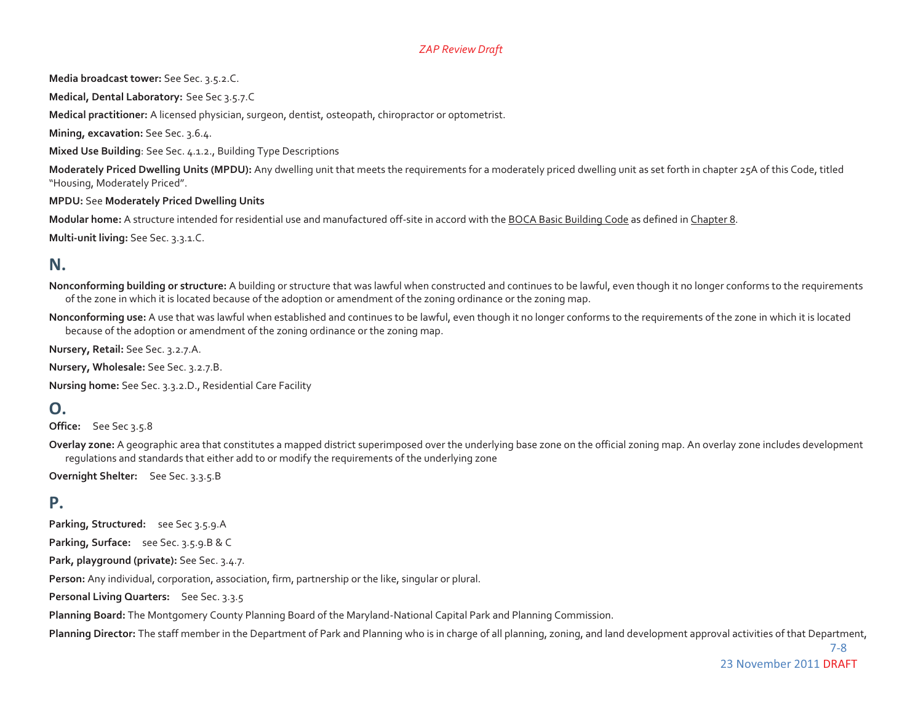**Media broadcast tower:** See Sec. 3.5.2.C.

**Medical, Dental Laboratory:** See Sec 3.5.7.C

**Medical practitioner:** A licensed physician, surgeon, dentist, osteopath, chiropractor or optometrist.

**Mining, excavation:** See Sec. 3.6.4.

**Mixed Use Building**: See Sec. 4.1.2., Building Type Descriptions

**Moderately Priced Dwelling Units (MPDU):** Any dwelling unit that meets the requirements for a moderately priced dwelling unit as set forth in chapter 25A of this Code, titled "Housing, Moderately Priced".

**MPDU:** See **Moderately Priced Dwelling Units** 

**Modular home:** A structure intended for residential use and manufactured off-site in accord with the BOCA Basic Building Code as defined in Chapter 8.

**Multi-unit living:** See Sec. 3.3.1.C.

### **N.**

- **Nonconforming building or structure:** A building or structure that was lawful when constructed and continues to be lawful, even though it no longer conforms to the requirements of the zone in which it is located because of the adoption or amendment of the zoning ordinance or the zoning map.
- **Nonconforming use:** A use that was lawful when established and continues to be lawful, even though it no longer conforms to the requirements of the zone in which it is located because of the adoption or amendment of the zoning ordinance or the zoning map.

**Nursery, Retail:** See Sec. 3.2.7.A.

**Nursery, Wholesale:** See Sec. 3.2.7.B.

**Nursing home:** See Sec. 3.3.2.D., Residential Care Facility

### **O.**

**Office:** See Sec 3.5.8

**Overlay zone:** A geographic area that constitutes a mapped district superimposed over the underlying base zone on the official zoning map. An overlay zone includes development regulations and standards that either add to or modify the requirements of the underlying zone

**Overnight Shelter:** See Sec. 3.3.5.B

### **P.**

**Parking, Structured:** see Sec 3.5.9.A

**Parking, Surface:** see Sec. 3.5.9.B & C

**Park, playground (private):** See Sec. 3.4.7.

**Person:** Any individual, corporation, association, firm, partnership or the like, singular or plural.

**Personal Living Quarters:** See Sec. 3.3.5

**Planning Board:** The Montgomery County Planning Board of the Maryland-National Capital Park and Planning Commission.

Planning Director: The staff member in the Department of Park and Planning who is in charge of all planning, zoning, and land development approval activities of that Department,

 7-8 23 November 2011 DRAFT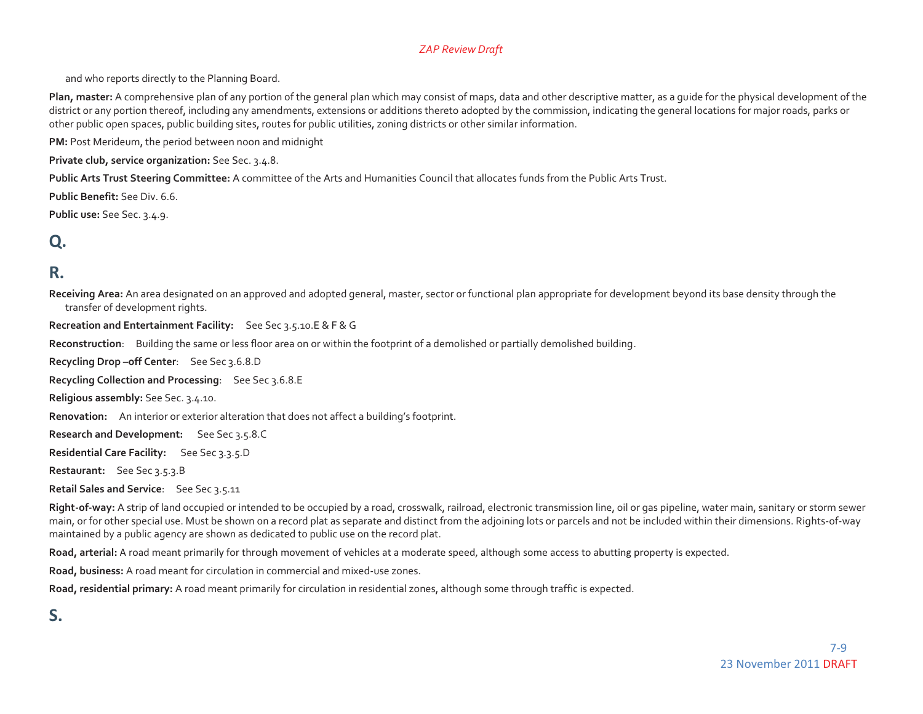and who reports directly to the Planning Board.

**Plan, master:** A comprehensive plan of any portion of the general plan which may consist of maps, data and other descriptive matter, as a guide for the physical development of the district or any portion thereof, including any amendments, extensions or additions thereto adopted by the commission, indicating the general locations for major roads, parks or other public open spaces, public building sites, routes for public utilities, zoning districts or other similar information.

**PM:** Post Merideum, the period between noon and midnight

**Private club, service organization:** See Sec. 3.4.8.

**Public Arts Trust Steering Committee:** A committee of the Arts and Humanities Council that allocates funds from the Public Arts Trust.

**Public Benefit:** See Div. 6.6.

**Public use:** See Sec. 3.4.9.

## **Q.**

### **R.**

**Receiving Area:** An area designated on an approved and adopted general, master, sector or functional plan appropriate for development beyond its base density through the transfer of development rights.

**Recreation and Entertainment Facility:** See Sec 3.5.10.E & F & G

**Reconstruction**: Building the same or less floor area on or within the footprint of a demolished or partially demolished building.

**Recycling Drop –off Center**: See Sec 3.6.8.D

**Recycling Collection and Processing**: See Sec 3.6.8.E

**Religious assembly:** See Sec. 3.4.10.

**Renovation:** An interior or exterior alteration that does not affect a building's footprint.

**Research and Development:** See Sec 3.5.8.C

**Residential Care Facility:** See Sec 3.3.5.D

**Restaurant:** See Sec 3.5.3.B

**Retail Sales and Service**: See Sec 3.5.11

Right-of-way: A strip of land occupied or intended to be occupied by a road, crosswalk, railroad, electronic transmission line, oil or gas pipeline, water main, sanitary or storm sewer main, or for other special use. Must be shown on a record plat as separate and distinct from the adjoining lots or parcels and not be included within their dimensions. Rights-of-way maintained by a public agency are shown as dedicated to public use on the record plat.

**Road, arterial:** A road meant primarily for through movement of vehicles at a moderate speed, although some access to abutting property is expected.

**Road, business:** A road meant for circulation in commercial and mixed-use zones.

**Road, residential primary:** A road meant primarily for circulation in residential zones, although some through traffic is expected.

### **S.**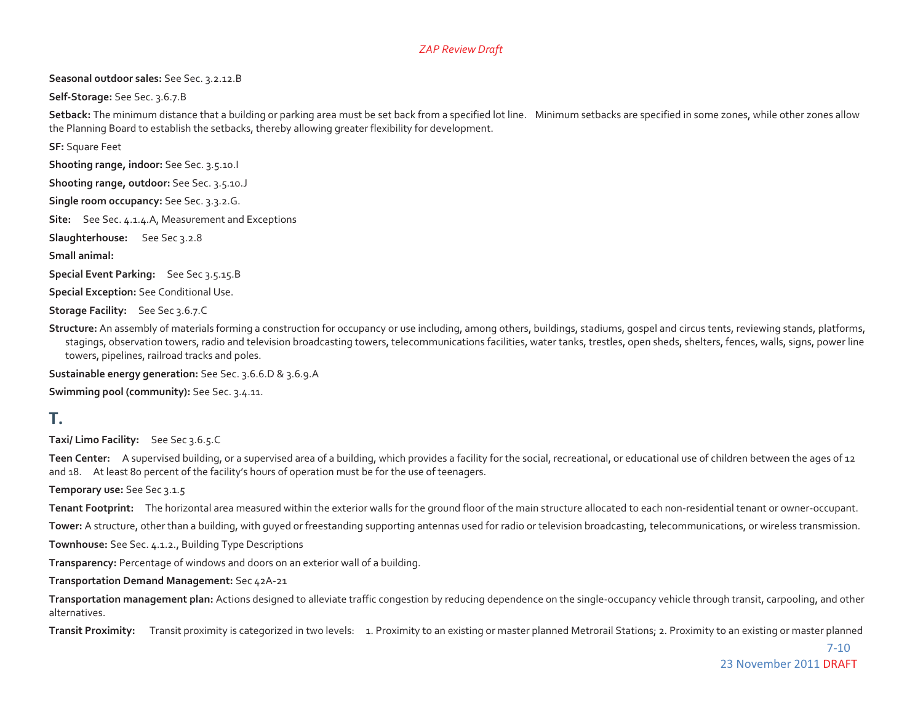#### **Seasonal outdoor sales:** See Sec. 3.2.12.B

**Self-Storage:** See Sec. 3.6.7.B

Setback: The minimum distance that a building or parking area must be set back from a specified lot line. Minimum setbacks are specified in some zones, while other zones allow the Planning Board to establish the setbacks, thereby allowing greater flexibility for development.

**SF:** Square Feet

**Shooting range, indoor:** See Sec. 3.5.10.I

**Shooting range, outdoor:** See Sec. 3.5.10.J

**Single room occupancy:** See Sec. 3.3.2.G.

**Site:** See Sec. 4.1.4.A, Measurement and Exceptions

**Slaughterhouse:** See Sec 3.2.8

**Small animal:**

**Special Event Parking:** See Sec 3.5.15.B

**Special Exception:** See Conditional Use.

**Storage Facility:** See Sec 3.6.7.C

**Structure:** An assembly of materials forming a construction for occupancy or use including, among others, buildings, stadiums, gospel and circus tents, reviewing stands, platforms, stagings, observation towers, radio and television broadcasting towers, telecommunications facilities, water tanks, trestles, open sheds, shelters, fences, walls, signs, power line towers, pipelines, railroad tracks and poles.

**Sustainable energy generation:** See Sec. 3.6.6.D & 3.6.9.A

**Swimming pool (community):** See Sec. 3.4.11.

### **T.**

**Taxi/ Limo Facility:** See Sec 3.6.5.C

Teen Center: A supervised building, or a supervised area of a building, which provides a facility for the social, recreational, or educational use of children between the ages of 12 and 18. At least 80 percent of the facility's hours of operation must be for the use of teenagers.

**Temporary use:** See Sec 3.1.5

**Tenant Footprint:** The horizontal area measured within the exterior walls for the ground floor of the main structure allocated to each non-residential tenant or owner-occupant.

**Tower:** A structure, other than a building, with guyed or freestanding supporting antennas used for radio or television broadcasting, telecommunications, or wireless transmission.

**Townhouse:** See Sec. 4.1.2., Building Type Descriptions

**Transparency:** Percentage of windows and doors on an exterior wall of a building.

**Transportation Demand Management:** Sec 42A-21

**Transportation management plan:** Actions designed to alleviate traffic congestion by reducing dependence on the single-occupancy vehicle through transit, carpooling, and other alternatives.

**Transit Proximity:** Transit proximity is categorized in two levels: 1. Proximity to an existing or master planned Metrorail Stations; 2. Proximity to an existing or master planned

 7-10 23 November 2011 DRAFT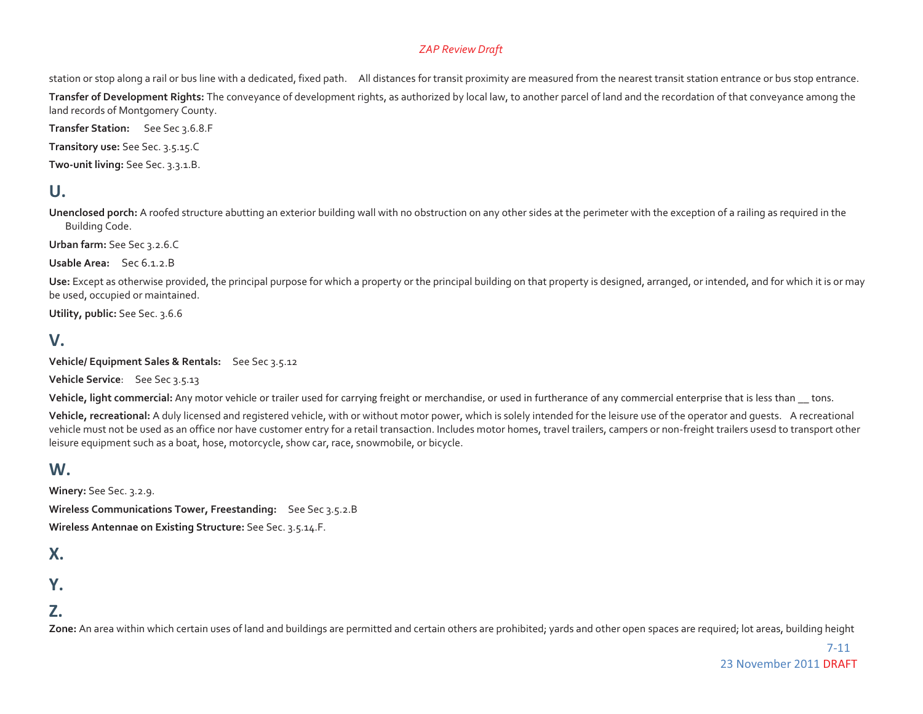station or stop along a rail or bus line with a dedicated, fixed path. All distances for transit proximity are measured from the nearest transit station entrance or bus stop entrance.

**Transfer of Development Rights:** The conveyance of development rights, as authorized by local law, to another parcel of land and the recordation of that conveyance among the land records of Montgomery County.

**Transfer Station:** See Sec 3.6.8.F

**Transitory use:** See Sec. 3.5.15.C

**Two-unit living:** See Sec. 3.3.1.B.

### **U.**

**Unenclosed porch:** A roofed structure abutting an exterior building wall with no obstruction on any other sides at the perimeter with the exception of a railing as required in the Building Code.

**Urban farm:** See Sec 3.2.6.C

**Usable Area:** Sec 6.1.2.B

**Use:** Except as otherwise provided, the principal purpose for which a property or the principal building on that property is designed, arranged, or intended, and for which it is or may be used, occupied or maintained.

**Utility, public:** See Sec. 3.6.6

### **V.**

**Vehicle/ Equipment Sales & Rentals:** See Sec 3.5.12

**Vehicle Service**: See Sec 3.5.13

Vehicle, light commercial: Any motor vehicle or trailer used for carrying freight or merchandise, or used in furtherance of any commercial enterprise that is less than \_\_ tons.

**Vehicle, recreational:** A duly licensed and registered vehicle, with or without motor power, which is solely intended for the leisure use of the operator and guests. A recreational vehicle must not be used as an office nor have customer entry for a retail transaction. Includes motor homes, travel trailers, campers or non-freight trailers usesd to transport other leisure equipment such as a boat, hose, motorcycle, show car, race, snowmobile, or bicycle.

### **W.**

**Winery:** See Sec. 3.2.9. **Wireless Communications Tower, Freestanding:** See Sec 3.5.2.B **Wireless Antennae on Existing Structure:** See Sec. 3.5.14.F.

### **X.**

**Y.** 

### **Z.**

**Zone:** An area within which certain uses of land and buildings are permitted and certain others are prohibited; yards and other open spaces are required; lot areas, building height